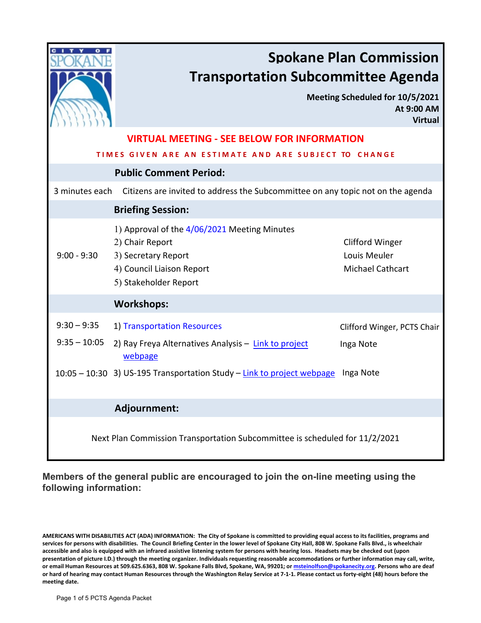

# **Spokane Plan Commission Transportation Subcommittee Agenda**

**Meeting Scheduled for 10/5/2021 At 9:00 AM Virtual**

| <b>VIRTUAL MEETING - SEE BELOW FOR INFORMATION</b>                          |                                                                                                                                              |                                                                   |
|-----------------------------------------------------------------------------|----------------------------------------------------------------------------------------------------------------------------------------------|-------------------------------------------------------------------|
| TIMES GIVEN ARE AN ESTIMATE AND ARE SUBJECT TO CHANGE                       |                                                                                                                                              |                                                                   |
| <b>Public Comment Period:</b>                                               |                                                                                                                                              |                                                                   |
| 3 minutes each                                                              | Citizens are invited to address the Subcommittee on any topic not on the agenda                                                              |                                                                   |
| <b>Briefing Session:</b>                                                    |                                                                                                                                              |                                                                   |
| $9:00 - 9:30$                                                               | 1) Approval of the 4/06/2021 Meeting Minutes<br>2) Chair Report<br>3) Secretary Report<br>4) Council Liaison Report<br>5) Stakeholder Report | <b>Clifford Winger</b><br>Louis Meuler<br><b>Michael Cathcart</b> |
|                                                                             | <b>Workshops:</b>                                                                                                                            |                                                                   |
| $9:30 - 9:35$<br>$9:35 - 10:05$                                             | 1) Transportation Resources<br>2) Ray Freya Alternatives Analysis - Link to project<br>webpage                                               | Clifford Winger, PCTS Chair<br>Inga Note                          |
|                                                                             | 10:05 - 10:30 3) US-195 Transportation Study - Link to project webpage                                                                       | Inga Note                                                         |
|                                                                             | Adjournment:                                                                                                                                 |                                                                   |
| Next Plan Commission Transportation Subcommittee is scheduled for 11/2/2021 |                                                                                                                                              |                                                                   |

**Members of the general public are encouraged to join the on-line meeting using the following information:**

**AMERICANS WITH DISABILITIES ACT (ADA) INFORMATION: The City of Spokane is committed to providing equal access to its facilities, programs and services for persons with disabilities. The Council Briefing Center in the lower level of Spokane City Hall, 808 W. Spokane Falls Blvd., is wheelchair accessible and also is equipped with an infrared assistive listening system for persons with hearing loss. Headsets may be checked out (upon presentation of picture I.D.) through the meeting organizer. Individuals requesting reasonable accommodations or further information may call, write, or email Human Resources at 509.625.6363, 808 W. Spokane Falls Blvd, Spokane, WA, 99201; o[r msteinolfson@spokanecity.org.](mailto:msteinolfson@spokanecity.org) Persons who are deaf or hard of hearing may contact Human Resources through the Washington Relay Service at 7-1-1. Please contact us forty-eight (48) hours before the meeting date.**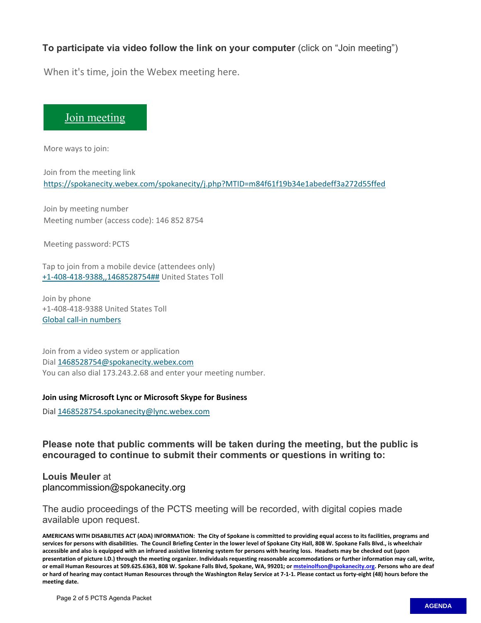### **To participate via video follow the link on your computer** (click on "Join meeting")

When it's time, join the Webex meeting here.

## [Join meeting](https://spokanecity.webex.com/spokanecity/j.php?MTID=m84f61f19b34e1abedeff3a272d55ffed)

More ways to join:

Join from the meeting link <https://spokanecity.webex.com/spokanecity/j.php?MTID=m84f61f19b34e1abedeff3a272d55ffed>

Join by meeting number Meeting number (access code): 146 852 8754

Meeting password: PCTS

Tap to join from a mobile device (attendees only) [+1-408-418-9388,,1468528754##](tel:%2B1-408-418-9388,,*01*1468528754%23%23*01*) United States Toll

Join by phone +1-408-418-9388 United States Toll [Global call-in numbers](https://spokanecity.webex.com/spokanecity/globalcallin.php?MTID=m5e5c1f5cb9dc3694f234af4cf5428f08)

Join from a video system or application Dial [1468528754@spokanecity.webex.com](sip:1468528754@spokanecity.webex.com)  You can also dial 173.243.2.68 and enter your meeting number.

#### **Join using Microsoft Lync or Microsoft Skype for Business**

Dial 1468528754.spokanecity@lync.webex.com

**Please note that public comments will be taken during the meeting, but the public is encouraged to continue to submit their comments or questions in writing to:**

**Louis Meuler** at plancommission@spokanecity.org

The audio proceedings of the PCTS meeting will be recorded, with digital copies made available upon request.

**AMERICANS WITH DISABILITIES ACT (ADA) INFORMATION: The City of Spokane is committed to providing equal access to its facilities, programs and services for persons with disabilities. The Council Briefing Center in the lower level of Spokane City Hall, 808 W. Spokane Falls Blvd., is wheelchair accessible and also is equipped with an infrared assistive listening system for persons with hearing loss. Headsets may be checked out (upon presentation of picture I.D.) through the meeting organizer. Individuals requesting reasonable accommodations or further information may call, write, or email Human Resources at 509.625.6363, 808 W. Spokane Falls Blvd, Spokane, WA, 99201; o[r msteinolfson@spokanecity.org.](mailto:msteinolfson@spokanecity.org) Persons who are deaf or hard of hearing may contact Human Resources through the Washington Relay Service at 7-1-1. Please contact us forty-eight (48) hours before the meeting date.**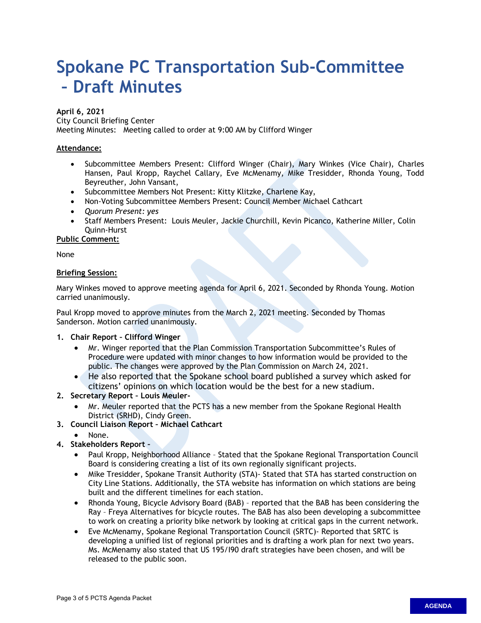# <span id="page-2-0"></span>**Spokane PC Transportation Sub-Committee – Draft Minutes**

#### **April 6, 2021**

City Council Briefing Center

Meeting Minutes: Meeting called to order at 9:00 AM by Clifford Winger

#### **Attendance:**

- Subcommittee Members Present: Clifford Winger (Chair), Mary Winkes (Vice Chair), Charles Hansen, Paul Kropp, Raychel Callary, Eve McMenamy, Mike Tresidder, Rhonda Young, Todd Beyreuther, John Vansant,
- Subcommittee Members Not Present: Kitty Klitzke, Charlene Kay,
- Non-Voting Subcommittee Members Present: Council Member Michael Cathcart
- *Quorum Present: yes*
- Staff Members Present: Louis Meuler, Jackie Churchill, Kevin Picanco, Katherine Miller, Colin Quinn-Hurst

**Public Comment:**

None

#### **Briefing Session:**

Mary Winkes moved to approve meeting agenda for April 6, 2021. Seconded by Rhonda Young. Motion carried unanimously.

Paul Kropp moved to approve minutes from the March 2, 2021 meeting. Seconded by Thomas Sanderson. Motion carried unanimously.

#### **1. Chair Report – Clifford Winger**

- Mr. Winger reported that the Plan Commission Transportation Subcommittee's Rules of Procedure were updated with minor changes to how information would be provided to the public. The changes were approved by the Plan Commission on March 24, 2021.
- He also reported that the Spokane school board published a survey which asked for citizens' opinions on which location would be the best for a new stadium.

#### **2. Secretary Report – Louis Meuler-**

- Mr. Meuler reported that the PCTS has a new member from the Spokane Regional Health District (SRHD), Cindy Green.
- **3. Council Liaison Report Michael Cathcart**
	- None.
- **4. Stakeholders Report** 
	- Paul Kropp, Neighborhood Alliance Stated that the Spokane Regional Transportation Council Board is considering creating a list of its own regionally significant projects.
	- Mike Tresidder, Spokane Transit Authority (STA)- Stated that STA has started construction on City Line Stations. Additionally, the STA website has information on which stations are being built and the different timelines for each station.
	- Rhonda Young, Bicycle Advisory Board (BAB) reported that the BAB has been considering the Ray – Freya Alternatives for bicycle routes. The BAB has also been developing a subcommittee to work on creating a priority bike network by looking at critical gaps in the current network.
	- Eve McMenamy, Spokane Regional Transportation Council (SRTC)- Reported that SRTC is developing a unified list of regional priorities and is drafting a work plan for next two years. Ms. McMenamy also stated that US 195/I90 draft strategies have been chosen, and will be released to the public soon.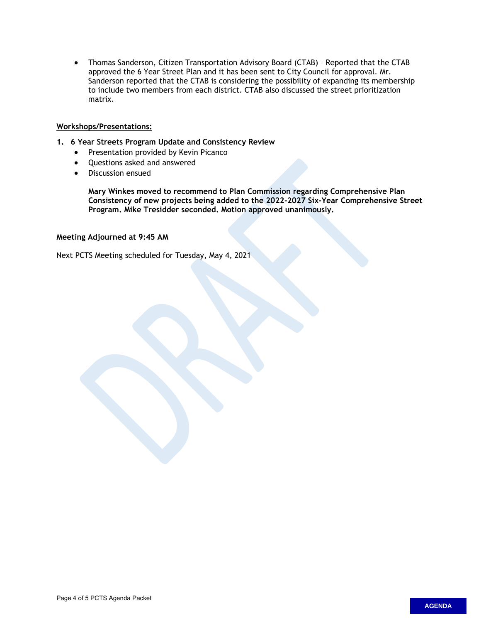• Thomas Sanderson, Citizen Transportation Advisory Board (CTAB) – Reported that the CTAB approved the 6 Year Street Plan and it has been sent to City Council for approval. Mr. Sanderson reported that the CTAB is considering the possibility of expanding its membership to include two members from each district. CTAB also discussed the street prioritization matrix.

#### **Workshops/Presentations:**

- **1. 6 Year Streets Program Update and Consistency Review**
	- Presentation provided by Kevin Picanco
	- Questions asked and answered
	- Discussion ensued

**Mary Winkes moved to recommend to Plan Commission regarding Comprehensive Plan Consistency of new projects being added to the 2022-2027 Six-Year Comprehensive Street Program. Mike Tresidder seconded. Motion approved unanimously.** 

#### **Meeting Adjourned at 9:45 AM**

Next PCTS Meeting scheduled for Tuesday, May 4, 2021